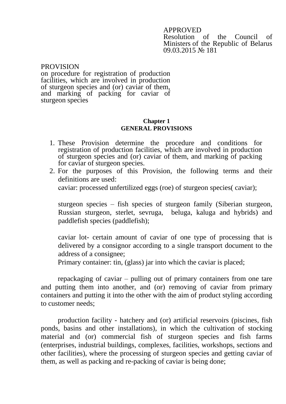APPROVED

Resolution of the Council of Ministers of the Republic of Belarus 09.03.2015 № 181

PROVISION on procedure for registration of production facilities, which are involved in production of sturgeon species and (or) caviar of them, and marking of packing for caviar of sturgeon species

## **Chapter 1 GENERAL PROVISIONS**

- 1. These Provision determine the procedure and conditions for registration of production facilities, which are involved in production of sturgeon species and (or) caviar of them, and marking of packing for caviar of sturgeon species.
- 2. For the purposes of this Provision, the following terms and their definitions are used: сaviar: processed unfertilized eggs (roe) of sturgeon species( caviar);

sturgeon species – fish species of sturgeon family (Siberian sturgeon, Russian sturgeon, sterlet, sevruga, beluga, kaluga and hybrids) and paddlefish species (paddlefish);

caviar lot- certain amount of caviar of one type of processing that is delivered by a consignor according to a single transport document to the address of a consignee;

Primary container: tin, (glass) jar into which the caviar is placed;

repackaging of caviar – pulling out of primary containers from one tare and putting them into another, and (or) removing of caviar from primary containers and putting it into the other with the aim of product styling according to customer needs;

production facility - hatchery and (or) artificial reservoirs (piscines, fish ponds, basins and other installations), in which the cultivation of stocking material and (or) commercial fish of sturgeon species and fish farms (enterprises, industrial buildings, complexes, facilities, workshops, sections and other facilities), where the processing of sturgeon species and getting caviar of them, as well as packing and re-packing of caviar is being done;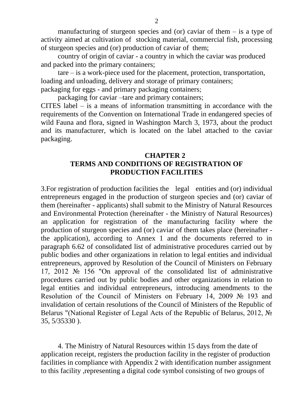manufacturing of sturgeon species and (or) caviar of them  $-$  is a type of activity aimed at cultivation of stocking material, commercial fish, processing of sturgeon species and (or) production of caviar of them;

country of origin of caviar - a country in which the caviar was produced and packed into the primary containers;

tare – is a work-piece used for the placement, protection, transportation, loading and unloading, delivery and storage of primary containers; packaging for eggs - and primary packaging containers;

packaging for caviar –tare and primary containers;

CITES label – is a means of information transmitting in accordance with the requirements of the Convention on International Trade in endangered species of wild Fauna and flora, signed in Washington March 3, 1973, about the product and its manufacturer, which is located on the label attached to the caviar packaging.

## **CHAPTER 2 TERMS AND CONDITIONS OF REGISTRATION OF PRODUCTION FACILITIES**

3.For registration of production facilities the legal entities and (or) individual entrepreneurs engaged in the production of sturgeon species and (or) caviar of them (hereinafter - applicants) shall submit to the Ministry of Natural Resources and Environmental Protection (hereinafter - the Ministry of Natural Resources) an application for registration of the manufacturing facility where the production of sturgeon species and (or) caviar of them takes place (hereinafter the application), according to Annex 1 and the documents referred to in paragraph 6.62 of consolidated list of administrative procedures carried out by public bodies and other organizations in relation to legal entities and individual entrepreneurs, approved by Resolution of the Council of Ministers on February 17, 2012 № 156 "On approval of the consolidated list of administrative procedures carried out by public bodies and other organizations in relation to legal entities and individual entrepreneurs, introducing amendments to the Resolution of the Council of Ministers on February 14, 2009 № 193 and invalidation of certain resolutions of the Council of Ministers of the Republic of Belarus "(National Register of Legal Acts of the Republic of Belarus, 2012, № 35, 5/35330 ).

4. The Ministry of Natural Resources within 15 days from the date of application receipt, registers the production facility in the register of production facilities in compliance with Appendix 2 with identification number assignment to this facility ,representing a digital code symbol consisting of two groups of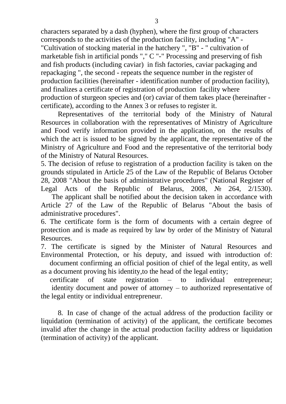characters separated by a dash (hyphen), where the first group of characters corresponds to the activities of the production facility, including "A" - "Cultivation of stocking material in the hatchery ", "B" - " cultivation of marketable fish in artificial ponds "," C "-" Processing and preserving of fish and fish products (including caviar) in fish factories, caviar packaging and repackaging ", the second - repeats the sequence number in the register of production facilities (hereinafter - identification number of production facility), and finalizes a certificate of registration of production facility where production of sturgeon species and (or) caviar of them takes place (hereinafter certificate), according to the Annex 3 or refuses to register it.

Representatives of the territorial body of the Ministry of Natural Resources in collaboration with the representatives of Ministry of Agriculture and Food verify information provided in the application, on the results of which the act is issued to be signed by the applicant, the representative of the Ministry of Agriculture and Food and the representative of the territorial body of the Ministry of Natural Resources.

5. The decision of refuse to registration of a production facility is taken on the grounds stipulated in Article 25 of the Law of the Republic of Belarus October 28, 2008 "About the basis of administrative procedures" (National Register of Legal Acts of the Republic of Belarus, 2008, № 264, 2/1530).

 The applicant shall be notified about the decision taken in accordance with Article 27 of the Law of the Republic of Belarus "About the basis of administrative procedures".

6. The certificate form is the form of documents with a certain degree of protection and is made as required by law by order of the Ministry of Natural Resources.

7. The certificate is signed by the Minister of Natural Resources and Environmental Protection, or his deputy, and issued with introduction of:

 document confirming an official position of chief of the legal entity, as well as a document proving his identity, to the head of the legal entity;

 certificate of state registration – to individual entrepreneur; identity document and power of attorney – to authorized representative of the legal entity or individual entrepreneur.

8. In case of change of the actual address of the production facility or liquidation (termination of activity) of the applicant, the certificate becomes invalid after the change in the actual production facility address or liquidation (termination of activity) of the applicant.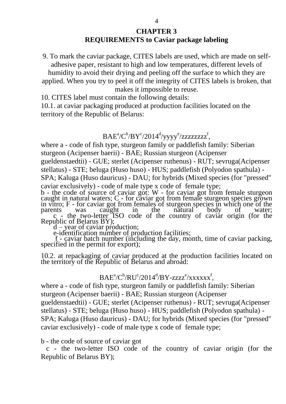## **CHAPTER 3 REQUIREMENTS to Caviar package labeling**

9. To mark the caviar package, CITES labels are used, which are made on selfadhesive paper, resistant to high and low temperatures, different levels of humidity to avoid their drying and peeling off the surface to which they are

applied. When you try to peel it off the integrity of CITES labels is broken, that makes it impossible to reuse.

10. CITES label must contain the following details:

10.1. at caviar packaging produced at production facilities located on the territory of the Republic of Belarus:

 $\mathrm{BAE}^{\mathrm{a}}\!/\mathrm{C}^{\mathrm{b}}\!/\mathrm{B}\mathrm{Y}^{\mathrm{c}}\!/\mathrm{2014}^{\mathrm{d}}\!/\mathrm{y}\mathrm{y}\mathrm{y}\mathrm{y}^{\mathrm{e}}\!/\mathrm{z}\mathrm{z}\mathrm{z}\mathrm{z}\mathrm{z}\mathrm{z}\mathrm{z}\mathrm{z}^{\mathrm{f}},$ 

where a - code of fish type, sturgeon family or paddlefish family: Siberian sturgeon (Acipenser baerii) - BAE; Russian sturgeon (Acipenser gueldenstaedtii) - GUE; sterlet (Acipenser ruthenus) - RUT; sevruga(Acipenser stellatus) - STE; beluga (Huso huso) - HUS; paddlefish (Polyodon spathula) - SPA; Kaluga (Huso dauricus) - DAU; for hybrids (Mixed species (for "pressed" caviar exclusively) - code of male type x code of female type; b - the code of source of caviar got: W - for caviar got from female sturgeon caught in natural waters;  $C<sub>c</sub>$ - for caviar got from female sturgeon species grown

in vitro; F - for caviar got from females of sturgeon species in which one of the parents was caught in the natural body of water; c - the two-letter ISO code of the country of caviar origin (for the Republic of Belarus BY);

 $d -$ year of caviar production;

e-identification number of production facilities;

 f - caviar batch number (including the day, month, time of caviar packing, specified in the permit for export);

10.2. at repackaging of caviar produced at the production facilities located on the territory of the Republic of Belarus and abroad:

## $\mathrm{BAE}^{\mathrm{a}}\!/\mathrm{C}^{\mathrm{b}}\!/\mathrm{RU}^{\mathrm{c}}\!/2014^{\mathrm{d}}\!/\mathrm{BY}\text{-}\mathrm{zzzz}^{\mathrm{e}}\!/\mathrm{xx}\mathrm{xx}\mathrm{xx}\mathrm{x}^{\mathrm{f}},$

where a - code of fish type, sturgeon family or paddlefish family: Siberian sturgeon (Acipenser baerii) - BAE; Russian sturgeon (Acipenser gueldenstaedtii) - GUE; sterlet (Acipenser ruthenus) - RUT; sevruga(Acipenser stellatus) - STE; beluga (Huso huso) - HUS; paddlefish (Polyodon spathula) - SPA; Kaluga (Huso dauricus) - DAU; for hybrids (Mixed species (for "pressed" caviar exclusively) - code of male type x code of female type;

b - the code of source of caviar got

 c - the two-letter ISO code of the country of caviar origin (for the Republic of Belarus BY);